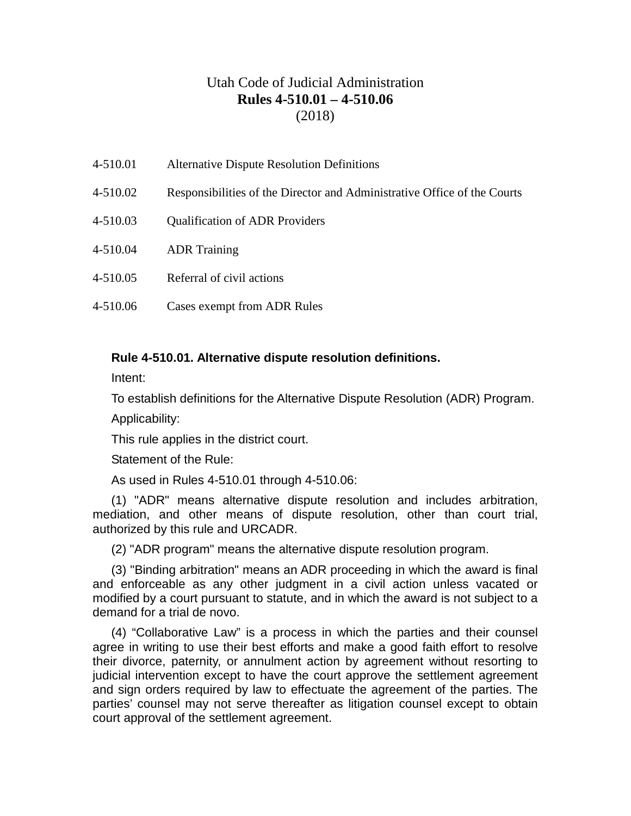# Utah Code of Judicial Administration **Rules 4-510.01 – 4-510.06** (2018)

- 4-510.01 Alternative Dispute Resolution Definitions
- 4-510.02 Responsibilities of the Director and Administrative Office of the Courts
- 4-510.03 Qualification of ADR Providers
- 4-510.04 ADR Training
- 4-510.05 Referral of civil actions
- 4-510.06 Cases exempt from ADR Rules

### **Rule 4-510.01. Alternative dispute resolution definitions.**

Intent:

To establish definitions for the Alternative Dispute Resolution (ADR) Program.

Applicability:

This rule applies in the district court.

Statement of the Rule:

As used in Rules 4-510.01 through 4-510.06:

(1) "ADR" means alternative dispute resolution and includes arbitration, mediation, and other means of dispute resolution, other than court trial, authorized by this rule and URCADR.

(2) "ADR program" means the alternative dispute resolution program.

(3) "Binding arbitration" means an ADR proceeding in which the award is final and enforceable as any other judgment in a civil action unless vacated or modified by a court pursuant to statute, and in which the award is not subject to a demand for a trial de novo.

(4) "Collaborative Law" is a process in which the parties and their counsel agree in writing to use their best efforts and make a good faith effort to resolve their divorce, paternity, or annulment action by agreement without resorting to judicial intervention except to have the court approve the settlement agreement and sign orders required by law to effectuate the agreement of the parties. The parties' counsel may not serve thereafter as litigation counsel except to obtain court approval of the settlement agreement.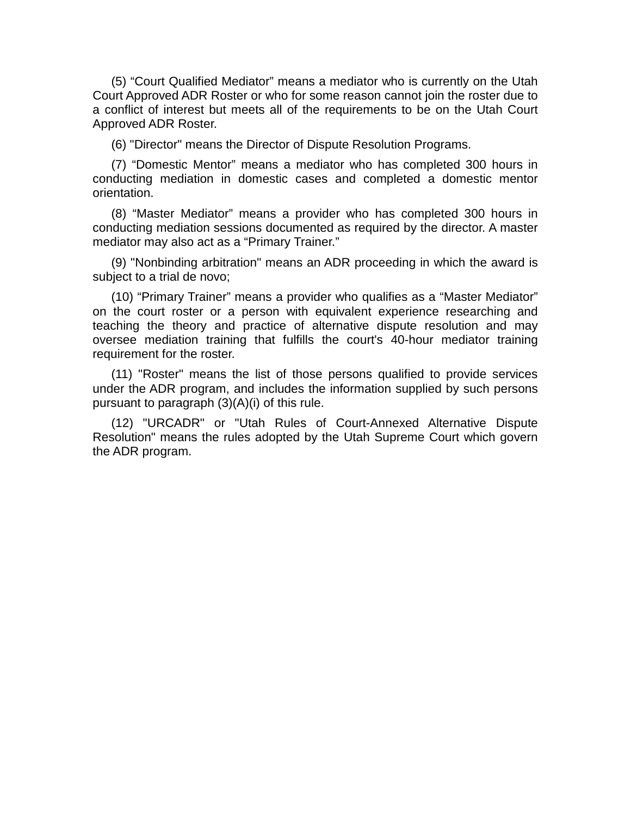(5) "Court Qualified Mediator" means a mediator who is currently on the Utah Court Approved ADR Roster or who for some reason cannot join the roster due to a conflict of interest but meets all of the requirements to be on the Utah Court Approved ADR Roster.

(6) "Director" means the Director of Dispute Resolution Programs.

(7) "Domestic Mentor" means a mediator who has completed 300 hours in conducting mediation in domestic cases and completed a domestic mentor orientation.

(8) "Master Mediator" means a provider who has completed 300 hours in conducting mediation sessions documented as required by the director. A master mediator may also act as a "Primary Trainer."

(9) "Nonbinding arbitration" means an ADR proceeding in which the award is subject to a trial de novo;

(10) "Primary Trainer" means a provider who qualifies as a "Master Mediator" on the court roster or a person with equivalent experience researching and teaching the theory and practice of alternative dispute resolution and may oversee mediation training that fulfills the court's 40-hour mediator training requirement for the roster.

(11) "Roster" means the list of those persons qualified to provide services under the ADR program, and includes the information supplied by such persons pursuant to paragraph (3)(A)(i) of this rule.

(12) "URCADR" or "Utah Rules of Court-Annexed Alternative Dispute Resolution" means the rules adopted by the Utah Supreme Court which govern the ADR program.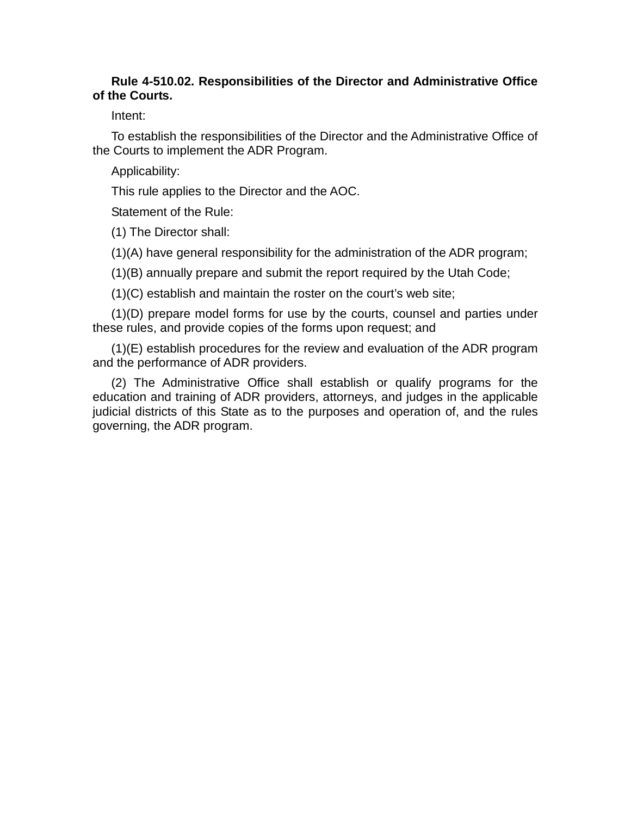### **Rule 4-510.02. Responsibilities of the Director and Administrative Office of the Courts.**

Intent:

To establish the responsibilities of the Director and the Administrative Office of the Courts to implement the ADR Program.

Applicability:

This rule applies to the Director and the AOC.

Statement of the Rule:

(1) The Director shall:

(1)(A) have general responsibility for the administration of the ADR program;

(1)(B) annually prepare and submit the report required by the Utah Code;

(1)(C) establish and maintain the roster on the court's web site;

(1)(D) prepare model forms for use by the courts, counsel and parties under these rules, and provide copies of the forms upon request; and

(1)(E) establish procedures for the review and evaluation of the ADR program and the performance of ADR providers.

(2) The Administrative Office shall establish or qualify programs for the education and training of ADR providers, attorneys, and judges in the applicable judicial districts of this State as to the purposes and operation of, and the rules governing, the ADR program.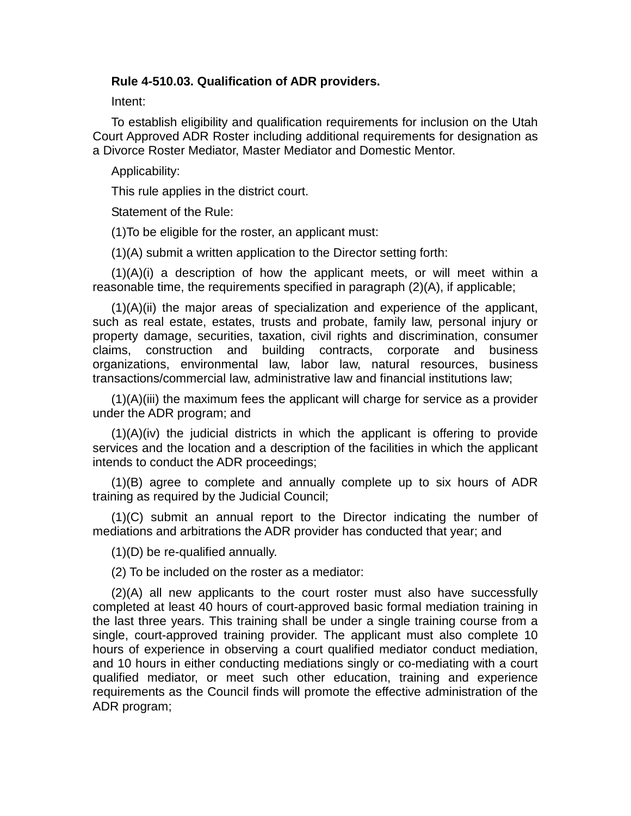#### **Rule 4-510.03. Qualification of ADR providers.**

Intent:

To establish eligibility and qualification requirements for inclusion on the Utah Court Approved ADR Roster including additional requirements for designation as a Divorce Roster Mediator, Master Mediator and Domestic Mentor.

Applicability:

This rule applies in the district court.

Statement of the Rule:

(1)To be eligible for the roster, an applicant must:

(1)(A) submit a written application to the Director setting forth:

 $(1)(A)(i)$  a description of how the applicant meets, or will meet within a reasonable time, the requirements specified in paragraph (2)(A), if applicable;

(1)(A)(ii) the major areas of specialization and experience of the applicant, such as real estate, estates, trusts and probate, family law, personal injury or property damage, securities, taxation, civil rights and discrimination, consumer claims, construction and building contracts, corporate and business organizations, environmental law, labor law, natural resources, business transactions/commercial law, administrative law and financial institutions law;

 $(1)(A)(iii)$  the maximum fees the applicant will charge for service as a provider under the ADR program; and

(1)(A)(iv) the judicial districts in which the applicant is offering to provide services and the location and a description of the facilities in which the applicant intends to conduct the ADR proceedings;

(1)(B) agree to complete and annually complete up to six hours of ADR training as required by the Judicial Council;

(1)(C) submit an annual report to the Director indicating the number of mediations and arbitrations the ADR provider has conducted that year; and

(1)(D) be re-qualified annually.

(2) To be included on the roster as a mediator:

(2)(A) all new applicants to the court roster must also have successfully completed at least 40 hours of court-approved basic formal mediation training in the last three years. This training shall be under a single training course from a single, court-approved training provider. The applicant must also complete 10 hours of experience in observing a court qualified mediator conduct mediation, and 10 hours in either conducting mediations singly or co-mediating with a court qualified mediator, or meet such other education, training and experience requirements as the Council finds will promote the effective administration of the ADR program;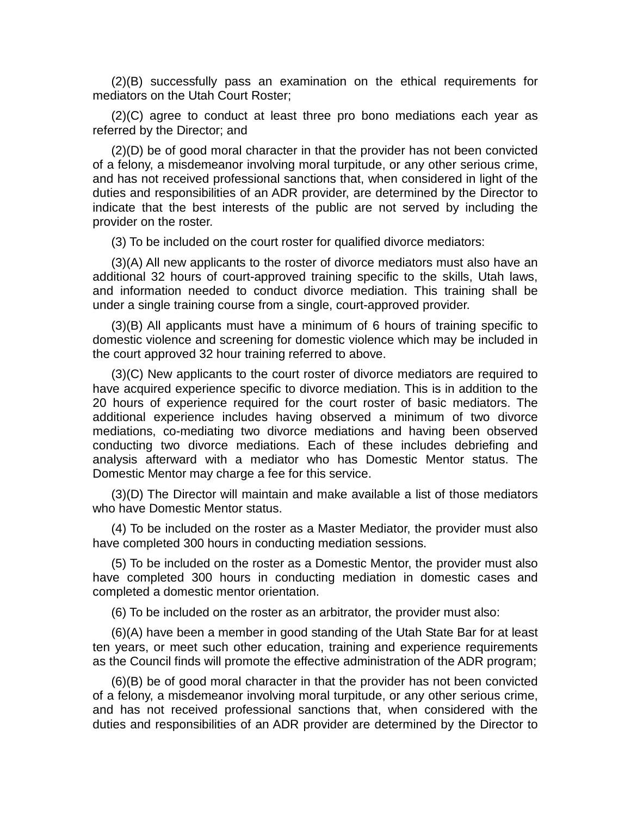(2)(B) successfully pass an examination on the ethical requirements for mediators on the Utah Court Roster;

(2)(C) agree to conduct at least three pro bono mediations each year as referred by the Director; and

(2)(D) be of good moral character in that the provider has not been convicted of a felony, a misdemeanor involving moral turpitude, or any other serious crime, and has not received professional sanctions that, when considered in light of the duties and responsibilities of an ADR provider, are determined by the Director to indicate that the best interests of the public are not served by including the provider on the roster.

(3) To be included on the court roster for qualified divorce mediators:

(3)(A) All new applicants to the roster of divorce mediators must also have an additional 32 hours of court-approved training specific to the skills, Utah laws, and information needed to conduct divorce mediation. This training shall be under a single training course from a single, court-approved provider.

(3)(B) All applicants must have a minimum of 6 hours of training specific to domestic violence and screening for domestic violence which may be included in the court approved 32 hour training referred to above.

(3)(C) New applicants to the court roster of divorce mediators are required to have acquired experience specific to divorce mediation. This is in addition to the 20 hours of experience required for the court roster of basic mediators. The additional experience includes having observed a minimum of two divorce mediations, co-mediating two divorce mediations and having been observed conducting two divorce mediations. Each of these includes debriefing and analysis afterward with a mediator who has Domestic Mentor status. The Domestic Mentor may charge a fee for this service.

(3)(D) The Director will maintain and make available a list of those mediators who have Domestic Mentor status.

(4) To be included on the roster as a Master Mediator, the provider must also have completed 300 hours in conducting mediation sessions.

(5) To be included on the roster as a Domestic Mentor, the provider must also have completed 300 hours in conducting mediation in domestic cases and completed a domestic mentor orientation.

(6) To be included on the roster as an arbitrator, the provider must also:

(6)(A) have been a member in good standing of the Utah State Bar for at least ten years, or meet such other education, training and experience requirements as the Council finds will promote the effective administration of the ADR program;

(6)(B) be of good moral character in that the provider has not been convicted of a felony, a misdemeanor involving moral turpitude, or any other serious crime, and has not received professional sanctions that, when considered with the duties and responsibilities of an ADR provider are determined by the Director to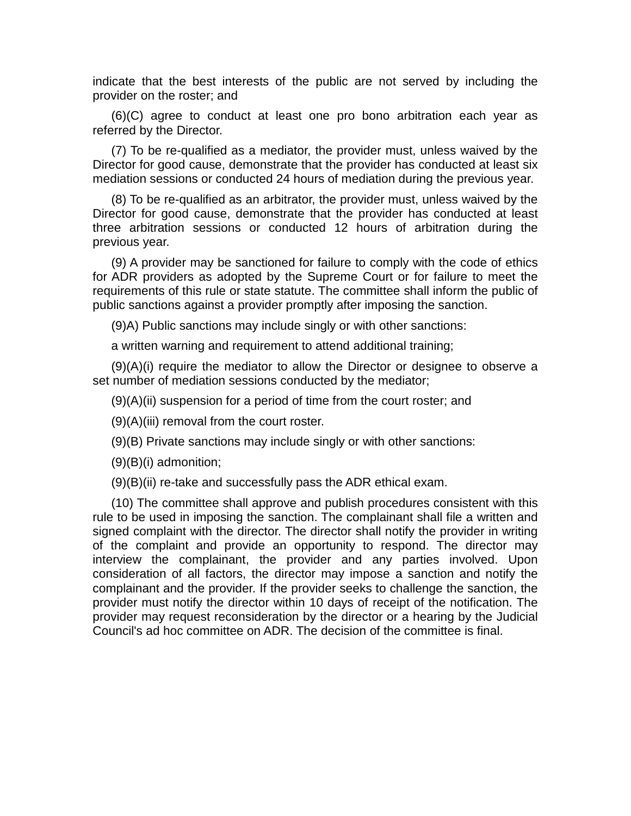indicate that the best interests of the public are not served by including the provider on the roster; and

(6)(C) agree to conduct at least one pro bono arbitration each year as referred by the Director.

(7) To be re-qualified as a mediator, the provider must, unless waived by the Director for good cause, demonstrate that the provider has conducted at least six mediation sessions or conducted 24 hours of mediation during the previous year.

(8) To be re-qualified as an arbitrator, the provider must, unless waived by the Director for good cause, demonstrate that the provider has conducted at least three arbitration sessions or conducted 12 hours of arbitration during the previous year.

(9) A provider may be sanctioned for failure to comply with the code of ethics for ADR providers as adopted by the Supreme Court or for failure to meet the requirements of this rule or state statute. The committee shall inform the public of public sanctions against a provider promptly after imposing the sanction.

(9)A) Public sanctions may include singly or with other sanctions:

a written warning and requirement to attend additional training;

(9)(A)(i) require the mediator to allow the Director or designee to observe a set number of mediation sessions conducted by the mediator;

 $(9)(A)(ii)$  suspension for a period of time from the court roster; and

(9)(A)(iii) removal from the court roster.

(9)(B) Private sanctions may include singly or with other sanctions:

 $(9)(B)(i)$  admonition;

(9)(B)(ii) re-take and successfully pass the ADR ethical exam.

(10) The committee shall approve and publish procedures consistent with this rule to be used in imposing the sanction. The complainant shall file a written and signed complaint with the director. The director shall notify the provider in writing of the complaint and provide an opportunity to respond. The director may interview the complainant, the provider and any parties involved. Upon consideration of all factors, the director may impose a sanction and notify the complainant and the provider. If the provider seeks to challenge the sanction, the provider must notify the director within 10 days of receipt of the notification. The provider may request reconsideration by the director or a hearing by the Judicial Council's ad hoc committee on ADR. The decision of the committee is final.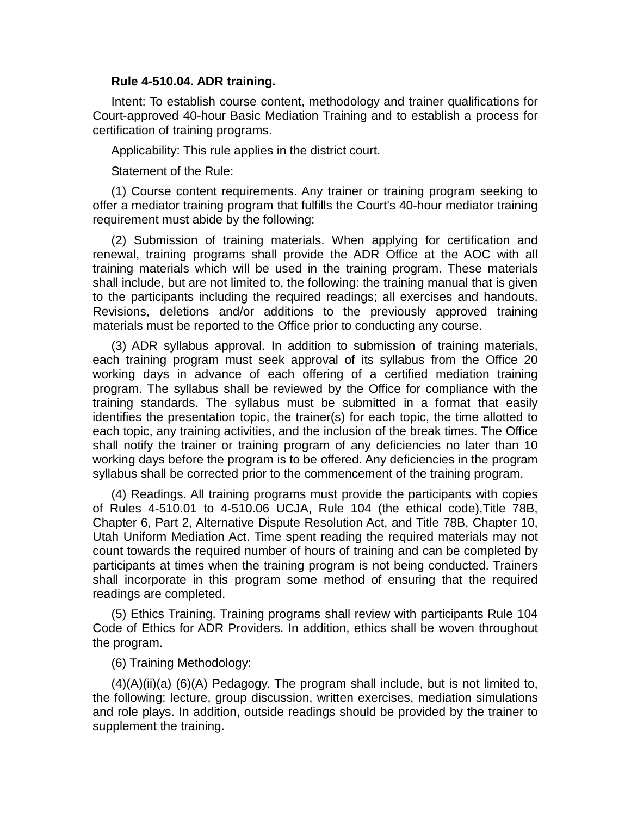#### **Rule 4-510.04. ADR training.**

Intent: To establish course content, methodology and trainer qualifications for Court-approved 40-hour Basic Mediation Training and to establish a process for certification of training programs.

Applicability: This rule applies in the district court.

Statement of the Rule:

(1) Course content requirements. Any trainer or training program seeking to offer a mediator training program that fulfills the Court's 40-hour mediator training requirement must abide by the following:

(2) Submission of training materials. When applying for certification and renewal, training programs shall provide the ADR Office at the AOC with all training materials which will be used in the training program. These materials shall include, but are not limited to, the following: the training manual that is given to the participants including the required readings; all exercises and handouts. Revisions, deletions and/or additions to the previously approved training materials must be reported to the Office prior to conducting any course.

(3) ADR syllabus approval. In addition to submission of training materials, each training program must seek approval of its syllabus from the Office 20 working days in advance of each offering of a certified mediation training program. The syllabus shall be reviewed by the Office for compliance with the training standards. The syllabus must be submitted in a format that easily identifies the presentation topic, the trainer(s) for each topic, the time allotted to each topic, any training activities, and the inclusion of the break times. The Office shall notify the trainer or training program of any deficiencies no later than 10 working days before the program is to be offered. Any deficiencies in the program syllabus shall be corrected prior to the commencement of the training program.

(4) Readings. All training programs must provide the participants with copies of Rules 4-510.01 to 4-510.06 UCJA, Rule 104 (the ethical code),Title 78B, Chapter 6, Part 2, Alternative Dispute Resolution Act, and Title 78B, Chapter 10, Utah Uniform Mediation Act. Time spent reading the required materials may not count towards the required number of hours of training and can be completed by participants at times when the training program is not being conducted. Trainers shall incorporate in this program some method of ensuring that the required readings are completed.

(5) Ethics Training. Training programs shall review with participants Rule 104 Code of Ethics for ADR Providers. In addition, ethics shall be woven throughout the program.

(6) Training Methodology:

 $(4)(A)(ii)(a)$   $(6)(A)$  Pedagogy. The program shall include, but is not limited to, the following: lecture, group discussion, written exercises, mediation simulations and role plays. In addition, outside readings should be provided by the trainer to supplement the training.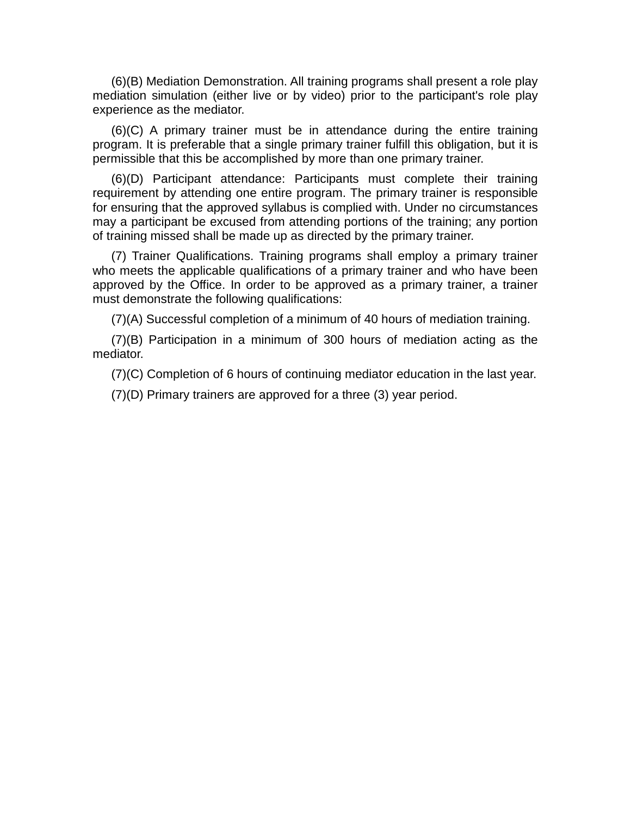(6)(B) Mediation Demonstration. All training programs shall present a role play mediation simulation (either live or by video) prior to the participant's role play experience as the mediator.

(6)(C) A primary trainer must be in attendance during the entire training program. It is preferable that a single primary trainer fulfill this obligation, but it is permissible that this be accomplished by more than one primary trainer.

(6)(D) Participant attendance: Participants must complete their training requirement by attending one entire program. The primary trainer is responsible for ensuring that the approved syllabus is complied with. Under no circumstances may a participant be excused from attending portions of the training; any portion of training missed shall be made up as directed by the primary trainer.

(7) Trainer Qualifications. Training programs shall employ a primary trainer who meets the applicable qualifications of a primary trainer and who have been approved by the Office. In order to be approved as a primary trainer, a trainer must demonstrate the following qualifications:

(7)(A) Successful completion of a minimum of 40 hours of mediation training.

(7)(B) Participation in a minimum of 300 hours of mediation acting as the mediator.

(7)(C) Completion of 6 hours of continuing mediator education in the last year.

(7)(D) Primary trainers are approved for a three (3) year period.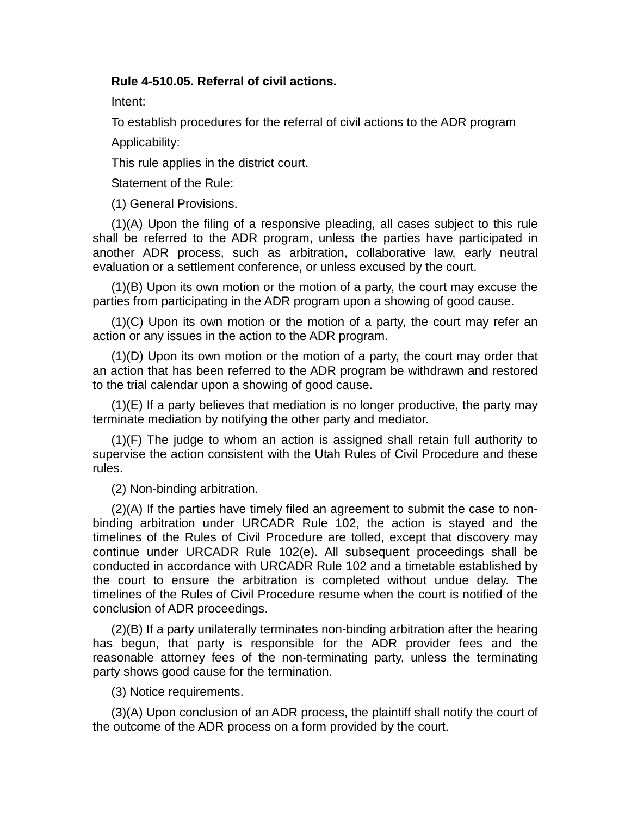#### **Rule 4-510.05. Referral of civil actions.**

Intent:

To establish procedures for the referral of civil actions to the ADR program

Applicability:

This rule applies in the district court.

Statement of the Rule:

(1) General Provisions.

(1)(A) Upon the filing of a responsive pleading, all cases subject to this rule shall be referred to the ADR program, unless the parties have participated in another ADR process, such as arbitration, collaborative law, early neutral evaluation or a settlement conference, or unless excused by the court.

(1)(B) Upon its own motion or the motion of a party, the court may excuse the parties from participating in the ADR program upon a showing of good cause.

(1)(C) Upon its own motion or the motion of a party, the court may refer an action or any issues in the action to the ADR program.

(1)(D) Upon its own motion or the motion of a party, the court may order that an action that has been referred to the ADR program be withdrawn and restored to the trial calendar upon a showing of good cause.

(1)(E) If a party believes that mediation is no longer productive, the party may terminate mediation by notifying the other party and mediator.

(1)(F) The judge to whom an action is assigned shall retain full authority to supervise the action consistent with the Utah Rules of Civil Procedure and these rules.

(2) Non-binding arbitration.

(2)(A) If the parties have timely filed an agreement to submit the case to nonbinding arbitration under URCADR Rule 102, the action is stayed and the timelines of the Rules of Civil Procedure are tolled, except that discovery may continue under URCADR Rule 102(e). All subsequent proceedings shall be conducted in accordance with URCADR Rule 102 and a timetable established by the court to ensure the arbitration is completed without undue delay. The timelines of the Rules of Civil Procedure resume when the court is notified of the conclusion of ADR proceedings.

(2)(B) If a party unilaterally terminates non-binding arbitration after the hearing has begun, that party is responsible for the ADR provider fees and the reasonable attorney fees of the non-terminating party, unless the terminating party shows good cause for the termination.

(3) Notice requirements.

(3)(A) Upon conclusion of an ADR process, the plaintiff shall notify the court of the outcome of the ADR process on a form provided by the court.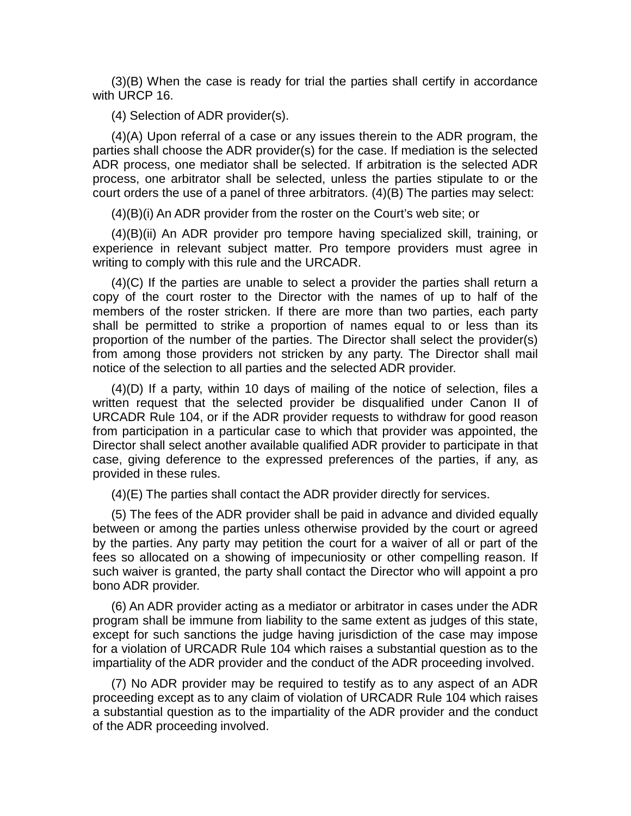(3)(B) When the case is ready for trial the parties shall certify in accordance with URCP 16.

(4) Selection of ADR provider(s).

(4)(A) Upon referral of a case or any issues therein to the ADR program, the parties shall choose the ADR provider(s) for the case. If mediation is the selected ADR process, one mediator shall be selected. If arbitration is the selected ADR process, one arbitrator shall be selected, unless the parties stipulate to or the court orders the use of a panel of three arbitrators. (4)(B) The parties may select:

(4)(B)(i) An ADR provider from the roster on the Court's web site; or

(4)(B)(ii) An ADR provider pro tempore having specialized skill, training, or experience in relevant subject matter. Pro tempore providers must agree in writing to comply with this rule and the URCADR.

(4)(C) If the parties are unable to select a provider the parties shall return a copy of the court roster to the Director with the names of up to half of the members of the roster stricken. If there are more than two parties, each party shall be permitted to strike a proportion of names equal to or less than its proportion of the number of the parties. The Director shall select the provider(s) from among those providers not stricken by any party. The Director shall mail notice of the selection to all parties and the selected ADR provider.

(4)(D) If a party, within 10 days of mailing of the notice of selection, files a written request that the selected provider be disqualified under Canon II of URCADR Rule 104, or if the ADR provider requests to withdraw for good reason from participation in a particular case to which that provider was appointed, the Director shall select another available qualified ADR provider to participate in that case, giving deference to the expressed preferences of the parties, if any, as provided in these rules.

(4)(E) The parties shall contact the ADR provider directly for services.

(5) The fees of the ADR provider shall be paid in advance and divided equally between or among the parties unless otherwise provided by the court or agreed by the parties. Any party may petition the court for a waiver of all or part of the fees so allocated on a showing of impecuniosity or other compelling reason. If such waiver is granted, the party shall contact the Director who will appoint a pro bono ADR provider.

(6) An ADR provider acting as a mediator or arbitrator in cases under the ADR program shall be immune from liability to the same extent as judges of this state, except for such sanctions the judge having jurisdiction of the case may impose for a violation of URCADR Rule 104 which raises a substantial question as to the impartiality of the ADR provider and the conduct of the ADR proceeding involved.

(7) No ADR provider may be required to testify as to any aspect of an ADR proceeding except as to any claim of violation of URCADR Rule 104 which raises a substantial question as to the impartiality of the ADR provider and the conduct of the ADR proceeding involved.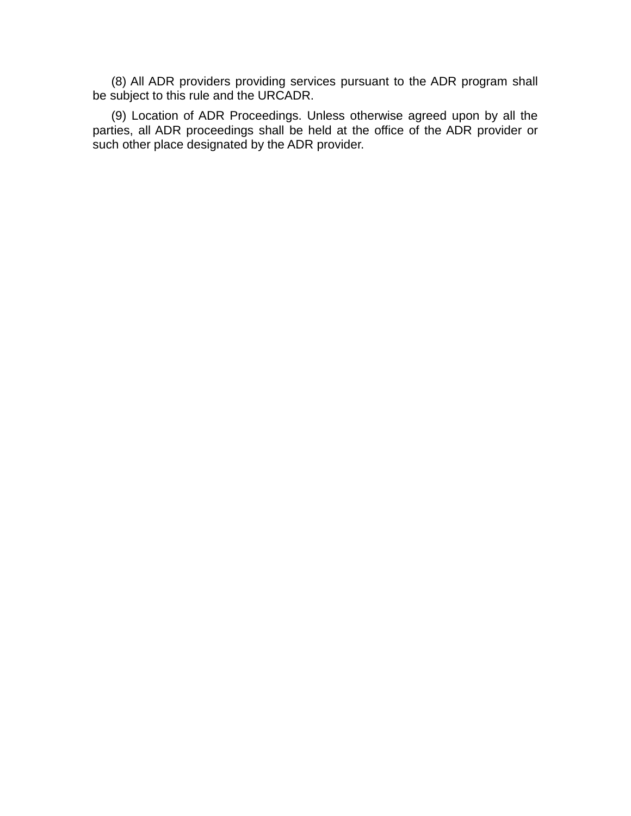(8) All ADR providers providing services pursuant to the ADR program shall be subject to this rule and the URCADR.

(9) Location of ADR Proceedings. Unless otherwise agreed upon by all the parties, all ADR proceedings shall be held at the office of the ADR provider or such other place designated by the ADR provider.